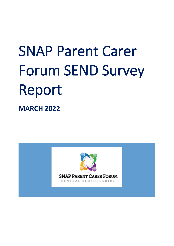# SNAP Parent Carer Forum SEND Survey Report

**MARCH 2022**

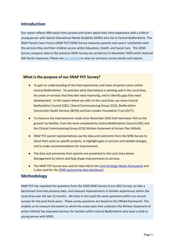# **Introduction**

Our report reflects 498 voices from parents and carers about their lived experience with a child or young person with Special Educational Needs Disability (SEND) who live in Central Bedfordshire. The SNAP Parent Carer Forum (SNAP PCF) SEND Survey measures parents and carers' satisfaction with the services they and their children access within Education, Health, and Social Care. This SEND Survey compares data to the previous SEND Survey we carried out in November 2020 which received 636 family responses. Please se[e our website](http://www.snappcf.org.uk/send-surveys/) to view our previous survey results and reports.

#### **What is the purpose of our SNAP PCF Survey?**

- To gain an understanding of the lived experiences and views of parent carers within Central Bedfordshire. To ascertain what they believe is working well in the Local Area, the areas or services that they feel need improving, and to identify gaps that need development. In this report where we refer to the Local Area, we mean Central Bedfordshire Council (CBC), Clinical Commissioning Group (CCG), Bedfordshire Community Health Services (BCHS) and East London Foundation Trust (ELFT).
- To measure the improvements made since November 2020 that have been 'felt on the ground' by families, from the work completed by Central Bedfordshire Council (CBC) and the Clinical Commissioning Group (CCG) [Written Statement of Action Plan](https://centralbedfordshire.app.box.com/s/idqx9b4fpgsn3q4yoxrojx95b7rotnvv) (WSoA).
- SNAP PCF parent representatives use the data and comments from the SEND Survey to direct their work on specific projects, to highlight gaps in services and needed changes, and to make recommendations for improvement.
- The data and comments from parents are presented to the Local Area Senior Management to inform and help shape improvements to services.
- **The SNAP PCF Survey was used to help inform th[e Joint Strategic Needs Assessment](https://www.jsna.centralbedfordshire.gov.uk/jsna/info/17/additional_reports/100/health_needs_assessments) and** is also used for the [SEND partnership](https://www.centralbedfordshire.gov.uk/info/133/improving_send_services/1074/send_partnership) data dashboard.

# **Methodology**

SNAP PCF has repeated the questions from the 2020 SEND Survey in our 2022 Survey; to take a benchmark from the previous data, and measure improvements in families experiences within the Local Area over the last 15 months. We have in fact used the same questions within our annual surveys for the past three years. These survey questions are based on the Ofsted framework. This enables us to measure the extent to which the action plan that underpins the Written Statement of Action (WSoA) has improved services for families within Central Bedfordshire who have a child or young person with SEND.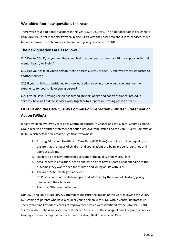#### **We added four new questions this year**

There were four additional questions in this year's SEND Survey. The additional data is designed to help SNAP PCF offer more clarity when in discussion with the Local Area about local services, as we try and improve the outcomes for children and young people with SEND.

#### **The new questions are as follows:**

Q11 Due to COVID, do you feel that your child or young person needs additional support with their mental health/wellbeing?

Q12 Has your child or young person tried to access CHUMS or CAMHS and were they signposted to another service?

Q25 If your child has transitioned to a new educational setting, how would you describe the experience for your child or young person?

Q26 Overall, if your young person has turned 18 years of age and has transitioned into Adult Services, how well did the services work together to support your young person's needs?

# **OFSTED and the Care Quality Commission Inspection - Written Statement of Action (WSoA)**

It has now been over two years since Central Bedfordshire Council and the Clinical Commissioning Group received a Written Statement of Action (WSoA) from Ofsted and the Care Quality Commission (CQC), which detailed six areas of significant weakness:

- 1. Existing Education, Health, and Care Plans (EHC Plans) are not of sufficient quality to ensure that the needs of children and young adults are being properly identified and appropriately met.
- 2. Leaders do not have sufficient oversight of the quality of new EHC Plans.
- 3. Area leaders in education, health and care do not have a shared understanding of the outcomes they want to see for children and young adults with SEND.
- 4. The areas SEND strategy is not clear.
- 5. Co-Production is not well developed and informed by the views of children, young people, and their families.
- 6. The Local Offer is not effective.

Our 2020 and 2022 SEND Surveys attempt to measure the impact of the work following the WSoA, by listening to parents who have a child or young person with SEND within Central Bedfordshire. There were nine key priority areas of improvement which were identified by the SNAP PCF SEND Survey in 2020. The results section in this SEND Survey uses these original nine key priority areas as headings to identify improvements within Education, Health, and Social Care.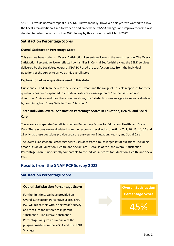SNAP PCF would normally repeat our SEND Survey annually. However, this year we wanted to allow the Local Area additional time to work on and embed their WSoA changes and improvements; it was decided to delay the launch of the 2021 Survey by three months until March 2022.

#### **Satisfaction Percentage Scores**

#### **Overall Satisfaction Percentage Score**

This year we have added an Overall Satisfaction Percentage Score to the results section. The Overall Satisfaction Percentage Score reflects how families in Central Bedfordshire view the SEND services delivered by the Local Area overall. SNAP PCF used the satisfaction data from the individual questions of the survey to arrive at this overall score.

#### **Explanation of new questions used in this data**

Questions 25 and 26 are new for the survey this year; and the range of possible responses for these questions has been expanded to include an extra response option of "neither satisfied nor dissatisfied". As a result, for these two questions, the Satisfaction Percentages Score was calculated by combining both "Very Satisfied" and "Satisfied".

#### **Three individual overall Satisfaction Percentage Scores in Education, Health, and Social Care**

There are also separate Overall Satisfaction Percentage Scores for Education, Health, and Social Care. These scores were calculated from the responses received to questions 7, 8, 10, 13, 14, 15 and 19 only, as these questions provide separate answers for Education, Health, and Social Care.

The Overall Satisfaction Percentage score uses data from a much larger set of questions, including areas outside of Education, Health, and Social Care. Because of this, the Overall Satisfaction Percentage Score is not directly comparable to the individual scores for Education, Health, and Social Care.

# **Results from the SNAP PCF Survey 2022**

#### **Satisfaction Percentage Score**

#### **Overall Satisfaction Percentage Score**

For the first time, we have provided an Overall Satisfaction Percentage Score. SNAP PCF will repeat this within next year's survey and measure the difference in parent satisfaction. The Overall Satisfaction Percentage will give an overview of the progress made from the WSoA and the SEND Strategy.

**Overall Satisfaction Percentage Score** 45%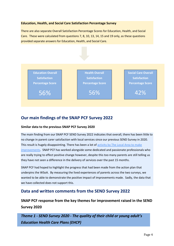#### **Education, Health, and Social Care Satisfaction Percentage Survey**

There are also separate Overall Satisfaction Percentage Scores for Education, Health, and Social Care. These were calculated from questions 7, 8, 10, 13, 14, 15 and 19 only, as these questions provided separate answers for Education, Health, and Social Care.



# **Our main findings of the SNAP PCF Survey 2022**

#### **Similar data to the previous SNAP PCF Survey 2020**

The main finding from our SNAP PCF SEND Survey 2022 indicates that overall, there has been little to no change in parent carer satisfaction with local services since our previous SEND Survey in 2020. This result is hugely disappointing. There has been a lot of activity by The Local Area to make [improvements.](https://www.centralbedfordshire.gov.uk/info/133/improving_send_services) SNAP PCF has worked alongside some dedicated and passionate professionals who are really trying to effect positive change however, despite this too many parents are still telling us they have not seen a difference in the delivery of services over the past 15 months.

SNAP PCF had hoped to highlight the progress that had been made from the action plan that underpins the WSoA. By measuring the lived experiences of parents across the two surveys, we wanted to be able to demonstrate the positive impact of improvements made. Sadly, the data that we have collected does not support this.

# **Data and written comments from the SEND Survey 2022**

**SNAP PCF response from the key themes for improvement raised in the SEND Survey 2020**

*Theme 1 - SEND Survey 2020 - The quality of their child or young adult's Education Health Care Plans (EHCP)*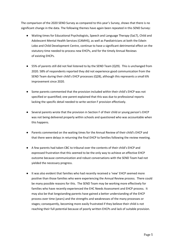The comparison of the 2020 SEND Survey as compared to this year's Survey, shows that there is no significant change in the data. The following themes have again been repeated in this SEND Survey:

- Waiting times for Educational Psychologists, Speech and Language Therapy (SaLT), Child and Adolescent Mental Health Services (CAMHS), as well as Paediatricians at both the Edwin Lobo and Child Development Centre, continue to have a significant detrimental effect on the statutory time needed to process new EHCPs, and for the timely Annual Reviews of existing EHCPs.
- 55% of parents still did not feel listened to by the SEND Team (Q29). This is unchanged from 2020. 58% of respondents reported they did not experience good communication from the SEND Team during their child's EHCP processes (Q28), although this represents a small 6% improvement since 2020.
- Some parents commented that the provision included within their child's EHCP was not specified or quantified; one parent explained that this was due to professional reports lacking the specific detail needed to write section F provision effectively.
- Several parents wrote that the provision in Section F of their child or young person's EHCP was not being delivered properly within schools and questioned who was accountable when this happens.
- Parents commented on the waiting times for the Annual Review of their child's EHCP and that there were delays in returning the final EHCP to families following the review meeting.
- A few parents had taken CBC to tribunal over the contents of their child's EHCP and expressed frustration that this seemed to be the only way to achieve an effective EHCP outcome because communication and robust conversations with the SEND Team had not yielded the necessary progress.
- It was also evident that families who had recently received a 'new' EHCP seemed more positive than those families who were experiencing the Annual Review process. There could be many possible reasons for this. The SEND Team may be working more effectively for families who have recently experienced the EHC Needs Assessment and EHCP process. It may also be that longstanding parents have gained a better understanding of the EHCP process over time (years) and the strengths and weaknesses of the many processes or stages; consequently, becoming more easily frustrated if they believe their child is not reaching their full potential because of poorly written EHCPs and lack of suitable provision.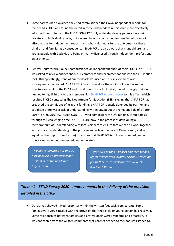- Some parents had explained they had commissioned their own independent reports for their child's EHCP and found the detail in these independent reports had more effectively informed the contents of the EHCP. SNAP PCF fully understands why parents have paid privately for individual reports; but we are obviously concerned for families who cannot afford to pay for independent reports, and what this means for the outcomes for these children and families as a consequence. SNAP PCF are also aware that many children and young people with Dyslexia are being primarily diagnosed through independent professional assessments.
- Central Bedfordshire Council commissioned an independent audit of their EHCPs. SNAP PCF was asked to review and feedback our comments and recommendations into the EHCP audit tool. Disappointingly, none of our feedback was used and our involvement was subsequently overstated. SNAP PCF did not co-produce the audit tool or endorse the structure or remit of the EHCP audit, and due to its lack of detail, we felt strongly that we needed to highlight this to our membership. [SNAP PCF wrote a report](http://www.snappcf.org.uk/wp-content/uploads/2021/04/SNAP-PCF-Steering-Group-response-to-CBC-audit-of-EHC-Plans-1.pdf) to this effect, which resulted in CBC contacting The Department for Education (DfE) alleging that SNAP PCF had breached the conditions of its grant funding. SNAP PCF robustly defended its position and could see there was a lack of understanding within CBC about the remit and role of a Parent Carer Forum. SNAP PCF asked CONTACT, who administers the DfE funding, to support us through this challenging time. SNAP PCF are now in the process of developing a Memorandum of Understanding with local partners to ensure that we can all work together with a shared understanding of the purpose and role of the Parent Carer Forum, and in equal partnership (co-production), to ensure that SNAP PCF is not compromised, and our role is clearly defined, respected, and understood.

*"We pay for private SALT and OT now because it's practically non existent since the pandemic began."* Parent

*"I got stuck at the EP phases and then fobbed off for a while until SNAP/SENDDIAS helped me get further. It was well over the 20 week deadline."* Parent

# *Theme 2 - SEND Survey 2020 - Improvements in the delivery of the provision detailed in the EHCP*

● Our Survey showed mixed responses within the written feedback from parents. Some families were very satisfied with the provision that their child or young person had received. Some relationships between families and professionals were respectful and proactive. It was noticeable from the written comments that parents needed to feel not just listened to,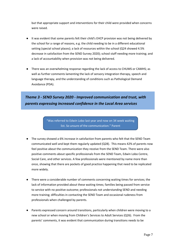but that appropriate support and interventions for their child were provided when concerns were raised.

- It was evident that some parents felt their child's EHCP provision was not being delivered by the school for a range of reasons, e.g. the child needing to be in a different educational setting (special school places); a lack of resources within the school (Q24 showed 4.5% decrease in satisfaction from the SEND Survey 2020); school staff needing more training; and a lack of accountability when provision was not being delivered.
- There was an overwhelming response regarding the lack of access to CHUMS or CAMHS; as well as further comments lamenting the lack of sensory integration therapy, speech and language therapy, and the understanding of conditions such as Pathological Demand Avoidance (PDA).

# *Theme 3 - SEND Survey 2020 - Improved communication and trust, with parents expressing increased confidence in the Local Area services*

"Was referred to Edwin Lobo last year and now on 34 week waiting list. So unsure of the communication." Parent

- The survey showed a 6% increase in satisfaction from parents who felt that the SEND Team communicated well and kept them regularly updated (Q28). This means 42% of parents now feel positive about the communication they receive from the SEND Team. There were also positive comments about specific professionals from the SEND Team, Edwin Lobo Centre, Social Care, and other services. A few professionals were mentioned by name more than once, showing that there are pockets of good practice happening that need to be replicated more widely.
- There were a considerable number of comments concerning waiting times for services; the lack of information provided about these waiting times; families being passed from service to service with no positive outcome; professionals not understanding SEND and needing more training; difficulties in contacting the SEND Team and occasional rudeness from professionals when challenged by parents.
- Parents expressed concern around transitions, particularly when children were moving to a new school or when moving from Children's Services to Adult Services (Q26). From the parents' comments, it was evident that communication during transitions needs to be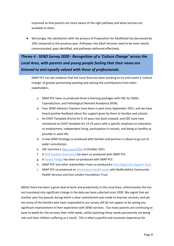improved so that parents are more aware of the right pathway and what services are available to them.

● Worryingly, the satisfaction with the process of Preparation for Adulthood has decreased by 10% compared to the previous year. Pathways into Adult Services need to be more clearly communicated, gaps identified, and pathways delivered effectively.

# *Theme 4 - SEND Survey 2020 - Recognition of a 'Culture Change' across the Local Area, with parents and young people feeling that their views are listened to and equally valued with those of professionals.*

SNAP PCF can see evidence that the Local Area has been working to try and create a 'culture change' of greater partnership working and valuing the contributions from other stakeholders.

- a. SNAP PCF have co-produced three e-learning packages with CBC for SEND, Coproduction, and Pathological Demand Avoidance (PDA).
- b. Four SEND Advisory Teachers have been in post since September 2021, and we have heard positive feedback about the support given by them to families and schools.
- c. An EHCP Template (Form) for 0-14 years has been created; and CBC have now introduced an EHCP template for 14-25 years with a specific emphasis on education or employment, independent living, participation in society, and being as healthy as possible in adult life.
- d. A new SEND Strategy co-produced with families and partners is about to go out to wider consultation.
- e. CBC launched a [New Local Offer](https://localoffer.centralbedfordshire.gov.uk/kb5/centralbedfordshire/directory/home.page) in October 2021.
- f. A [PDA Position Statement h](https://search3.openobjects.com/mediamanager/centralbedfordshire/directory/files/cbc_pda_positon_statement.pdf)as been co-produced with SNAP PCF.
- g. A [Parent Pledge](https://search3.openobjects.com/mediamanager/centralbedfordshire/directory/files/parents_pledge.pdf) has been co-produced with SNAP PCF.
- h. SNAP PCF and other stakeholders have co-produced a [Post Diagnostic Support Pack.](https://www.cambscommunityservices.nhs.uk/beds-luton-community-paediatrics/diagnosis-support-pack)
- i. SNAP PCF co-produced an [information health week](http://www.snappcf.org.uk/event-resources/) with Bedfordshire Community Health Services and East London Foundation Trust.

Whilst there has been a great deal of work and productivity in the Local Area, unfortunately this has not translated into significant change in the data we have collected since 2020. We regret that yet another year has passed, during which a clear commitment was made to improve services; and yet too many of the families who have responded to our survey still do not appear to be seeing any significant improvement in their experience with SEND services. Too many parents are continuing to have to battle for the services their child needs, whilst watching those needs persistently not being met and their children suffering as a result. This is often a painful and traumatic experience for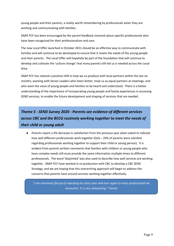young people and their parents, a reality worth remembering by professionals when they are working and communicating with families.

SNAP PCF has been encouraged by the parent feedback received about specific professionals who have been recognised for their professionalism and care.

The new Local Offer launched in October 2021 should be an effective way to communicate with families and will continue to be developed to ensure that it meets the needs of the young people and their parents. The Local Offer will hopefully be part of the foundation that will continue to develop and cultivate the 'culture change' that many parents still tell us is needed across the Local Area.

SNAP PCF has noticed a positive shift in how we co-produce with local partners within the last six months; working with Senior Leaders who listen better, treat us as equal partners at meetings, and who want the voice of young people and families to be heard and understood. There is a better understanding of the importance of incorporating young people and family experiences in accessing SEND services, to enable the future development and shaping of services that are needed.

# *Theme 5 - SEND Survey 2020 - Parents see evidence of different services across CBC and the BCCG routinely working together to meet the needs of their child or young adult*

● Parents report a 4% decrease in satisfaction from the previous year when asked to indicate how well different professionals work together (Q16 – 29% of parents were satisfied regarding professionals working together to support their child or young person). It is evident from parents written comments that families with children or young people who have complex needs still must provide the same information multiple times to different professionals. The word 'disjointed' was also used to describe how well services are working together. SNAP PCF have worked in co-production with CBC to develop a CBC SEND Strategy; and we are hoping that this overarching approach will begin to address the concerns that parents have around services working together effectively.

*"I am extremely fed up of repeating his story over and over again to every professional we encounter. It is very exhausting."* Parent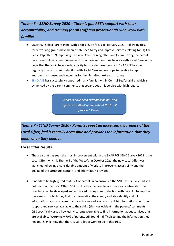# *Theme 6 – SEND Survey 2020 – There is good SEN support with clear accountability, and training for all staff and professionals who work with families*

- SNAP PCF held a Parent Panel with a Social Care focus in February 2021. Following this, three working groups have been established to try and improve services relating to: (1) The Early Help offer, (2) Improving the Social Care training offer, and (3) Improving the Parent Carer Needs Assessment process and offer. We will continue to work with Social Care in the hope that there will be enough capacity to provide these services. SNAP PCF has met regularly to work in co-production with Social Care and we hope to be able to report improved responses and outcomes for families after next year's survey.
- [SENDIASS](http://www.centralbedfordshire.gov.uk/info/15/special_educational_needs_and_disability_-_local_offer/141/central_bedfordshire_special_educational_needs_and_disability_information_advice_and_support_service) has successfully supported many families within Central Bedfordshire, which is evidenced by the parent comments that speak about this service with high regard.

*"Sendiass have been extremely helpful and supportive with all queries about the EHCP process."* Parent

# *Theme 7 - SEND Survey 2020 - Parents report an increased awareness of the Local Offer, feel it is easily accessible and provides the information that they need when they need it*

#### **Local Offer results**

- The area that has seen the most improvement within the SNAP PCF SEND Survey 2022 is the Local Offer (which is Theme 4 of the WSoA). In October 2021, the new Local Offer was launched following a considerable amount of work to improve its accessibility and the quality of the structure, content, and information provided.
- It needs to be highlighted that 55% of parents who answered the SNAP PCF survey had still not heard of the Local Offer. SNAP PCF views the new Local Offer as a positive start that over time can be developed and improved through co-production with parents; to improve the ease with which they find the information they need; and also identify and fill information gaps, to ensure that parents can easily access the right information about the support and services available to their child (this was evident in the parents' comments). Q18 specifically asked how easily parents were able to find information about services that are available. Worryingly 70% of parents still found it difficult to find the information they needed, highlighting that there is still a lot of work to do in this area.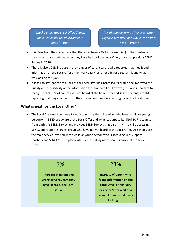*"Much better! (the Local Offer) Thanks for listening and the improvements made."* Parent

*"It's absolutely AWFUL (the Local Offer). Highly inaccessible and why all the lists of links?* " Parent

- It is clear from the survey data that there has been a 15% increase ( $Q21$ ) in the number of parents and carers who now say they have heard of the Local Offer, since our previous SEND Survey in 2020.
- There is also a 23% increase in the number of parent carers who reported that they found information on the Local Offer either 'very easily' or 'after a bit of a search I found what I was looking for' (Q22).
- It is fair to say that the relaunch of the Local Offer has increased its profile and improved the quality and accessibility of the information for some families, however, it is also important to recognise that 55% of parents had not heard of the Local Offer and 41% of parents are still reporting that they could not find the information they were looking for on the Local offer.

#### **What is next for the Local Offer?**

● The Local Area must continue to work to ensure that all families who have a child or young person with SEND are aware of the Local Offer and what its purpose is. SNAP PCF recognises from both this SEND Survey and previous SEND Surveys that parents with a child accessing SEN Support are the largest group who have not yet heard of the Local Offer. As schools are the main service involved with a child or young person who is accessing SEN Support, teachers and SENCO's must play a vital role in making more parents aware of the Local Offer.

# 15%

**Increase of parent and carers who say that they have heard of the Local Offer**

# 23%

**Increase of parent who found information on the Local Offer, either 'very easily' or 'after a bit of a search I found what I was looking for'**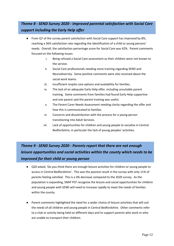# *Theme 8 - SEND Survey 2020 - Improved parental satisfaction with Social Care support including the Early Help offer*

- From Q7 of the survey parent satisfaction with Social Care support has improved by 8%, reaching a 36% satisfaction rate regarding the identification of a child or young persons' needs. Overall, the satisfaction percentage score for Social Care was 42%. Parent comments focused on the following issues:
	- i. Being refused a Social Care assessment as their children were not known to the service.
	- ii. Social Care professionals needing more training regarding SEND and Neurodiversity. Some positive comments were also received about the social work teams.
	- iii. Insufficient respite care options and availability for families.
	- iv. The lack of an adequate Early Help offer, including unsuitable parent training. Some comments from families had found Early Help supportive and one parent said the parent training was useful.
	- v. The Parent Carer Needs Assessment needing clarity regarding the offer and how this is communicated to families.
	- vi. Concerns and dissatisfaction with the process for a young person transitioning into Adult Services.
	- vii. Lack of opportunities for children and young people to socialise in Central Bedfordshire, in particular the lack of young peoples' activities.

# *Theme 9 - SEND Survey 2020 - Parents report that there are not enough leisure opportunities and social activities within the county which needs to be improved for their child or young person*

- Q20 asked, 'Do you think there are enough leisure activities for children or young people to access in Central Bedfordshire'. This was the poorest result in the survey with only 11% of parents feeling satisfied. This is a 4% decrease compared to the 2020 survey. As the population is expanding, SNAP PCF recognise the leisure and social opportunities for children and young people with SEND will need to increase rapidly to meet the needs of families within the county.
- Parent comments highlighted the need for a wider choice of leisure activities that will suit the needs of all children and young people in Central Bedfordshire. Other comments refer to a club or activity being held on different days and to support parents who work or who are unable to transport their children.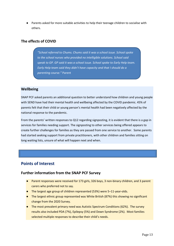● Parents asked for more suitable activities to help their teenage children to socialise with others.

#### **The effects of COVID**

*"School referred to Chums. Chums said it was a school issue. School spoke to the school nurses who provided no intelligible solutions. School said speak to GP. GP said it was a school issue. School spoke to Early Help team. Early Help team said they didn't have capacity and that I should do a parenting course."* Parent

#### **Wellbeing**

SNAP PCF asked parents an additional question to better understand how children and young people with SEND have had their mental health and wellbeing affected by the COVID pandemic. 45% of parents felt that their child or young person's mental health had been negatively affected by the national response to the pandemic.

From the parents' written responses to Q12 regarding signposting, it is evident that there is a gap in services for families needing support. The signposting to other services being offered appears to create further challenges for families as they are passed from one service to another. Some parents had started seeking support from private practitioners, with other children and families sitting on long waiting lists, unsure of what will happen next and when.

### **Points of Interest**

#### **Further information from the SNAP PCF Survey**

- Parent responses were received for 173 girls, 326 boys, 3 non-binary children, and 3 parent carers who preferred not to say.
- The largest age group of children represented (53%) were 5–11-year-olds.
- The largest ethnic group represented was White British (87%) this showing no significant change from the 2020 Survey.
- The most prevalent primary need was Autistic Spectrum Conditions (62%). The survey results also included PDA (7%), Epilepsy (5%) and Down Syndrome (2%). Most families selected multiple responses to describe their child's needs.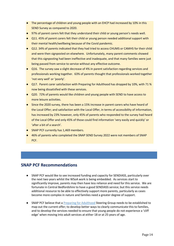- The percentage of children and young people with an EHCP had increased by 10% in this SEND Survey as compared to 2020.
- 97% of parent carers felt that they understand their child or young person's needs well.
- Q11. 45% of parent carers felt their child or young person needed additional support with their mental health/wellbeing because of the Covid pandemic.
- Q12. 34% of parents indicated that they had tried to access CHUMS or CAMHS for their child and were then signposted on elsewhere. Unfortunately, many parent comments showed that this signposting had been ineffective and inadequate, and that many families were just being passed from service to service without any effective outcome.
- Q16. The survey saw a slight decrease of 4% in parent satisfaction regarding services and professionals working together. 63% of parents thought that professionals worked together 'not very well' or 'poorly'.
- Q17. Parent carer satisfaction with Preparing for Adulthood has dropped by 10%, with 71 % now being dissatisfied with these services.
- Q20. 72% of parents would like children and young people with SEND to have access to more leisure activities.
- Since the 2020 survey, there has been a 15% increase in parent carers who have heard of the Local Offer; and satisfaction with the Local Offer, in terms of accessibility of information, has increased by 23% however, only 45% of parents who responded to the survey had heard of the Local Offer and only 45% of those could find information 'very easily and quickly' or 'after a bit of a search'.
- SNAP PCF currently has 1,469 members.
- 46% of parents who completed the SNAP SEND Survey 2022 were not members of SNAP PCF.

# **SNAP PCF Recommendations**

- SNAP PCF would like to see increased funding and capacity for SENDIASS, particularly over the next two years whilst the WSoA work is being embedded. As services start to significantly improve, parents may then have less reliance and need for this service. We are fortunate in Central Bedfordshire to have a good SENDIASS service; but this service needs additional resource to be able to effectively support more parents, particularly as cases become more complex in nature and families need a greater degree of support.
- SNAP PCF believe that a [Preparing for Adulthood](https://www.preparingforadulthood.org.uk/) Steering Group needs to be established to map out the current offer; to develop better ways to clearly communicate this to families, and to develop the services needed to ensure that young people do not experience a 'cliff edge' when moving into adult services at either 18 or at 25 years of age.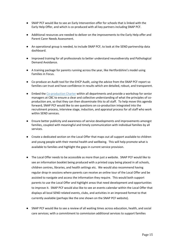- SNAP PCF would like to see an Early Intervention offer for schools that is linked with the Early Help Offer, and which is co-produced with all key partners including SNAP PCF.
- Additional resources are needed to deliver on the improvements to the Early Help offer and Parent Carer Needs Assessment.
- An operational group is needed, to include SNAP PCF, to look at the SEND partnership data dashboard.
- Improved training for all professionals to better understand neurodiversity and Pathological Demand Avoidance.
- A training package for parents running across the year, like Hertfordshire's model using Families in Focus.
- Co-produce an Audit tool for the EHCP Audit, using the advice from the SNAP PCF report so families can trust and have confidence in results which are detailed, robust, and transparent.
- Embed the [Co-production Charter](https://search3.openobjects.com/mediamanager/centralbedfordshire/directory/files/co-production_charter.pdf) within all departments and provide a workshop for senior managers at CBC to ensure a clear and collective understanding of what the principles of coproduction are, so that they can then disseminate this to all staff. To help move this agenda forward, SNAP PCF would like to see questions on co-production integrated into the recruitment process, interview stage, induction, and appraisal process for all staff who work within SEND services.
- Ensure better publicity and awareness of service developments and improvements amongst families, coupled with meaningful and timely communication with individual families by all services.
- Create a dedicated section on the Local Offer that maps out all support available to children and young people with their mental health and wellbeing. This will help promote what is available to families and highlight the gaps in current service provision.
- The Local Offer needs to be accessible as more than just a website. SNAP PCF would like to see an information booklet being produced with a printed copy being placed in all schools, children centres, libraries, and health settings etc. We would also recommend having regular drop-in sessions where parents can receive an online tour of the Local Offer and be assisted to navigate and access the information they require. This would both support parents to use the Local Offer and highlight areas that need development and opportunities to improve it. SNAP PCF would also like to see an events calendar within the Local Offer that displays all local SEND related events, clubs, and activities in an improved format to that currently available (perhaps like the one shown on the SNAP PCF website).
- SNAP PCF would like to see a review of all waiting times across education, health, and social care services; with a commitment to commission additional services to support families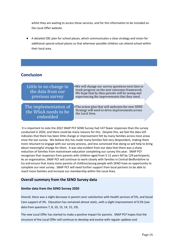whilst they are waiting to access these services, and for this information to be included on the Local Offer website.

A detailed CBC plan for school places, which communicates a clear strategy and vision for additional special school places so that wherever possible children can attend school within their local area.

# **Conclusion**

| Little to no change in<br>the data from our<br>previous survey | • We will change our survey questions next time to<br>track progress on the new outcomes framework.<br>We hope that by then parents will be seeing and<br>experiencing the improvements that they need. |
|----------------------------------------------------------------|---------------------------------------------------------------------------------------------------------------------------------------------------------------------------------------------------------|
| The implementation of                                          | • The action plan that will underpin the new SEND                                                                                                                                                       |
| the WSoA needs to be                                           | Strategy will need to drive improvements across                                                                                                                                                         |
| embedded                                                       | the Local Area.                                                                                                                                                                                         |

It is important to note the 2022 SNAP PCF SEND Survey had 147 fewer responses than the survey conducted in 2020, and there could be many reasons for this. Despite this, we feel the data still indicates that there has been little change or improvement felt by many families across most areas since the last survey. We believe this has made many families feel very despondent, making them more reluctant to engage with our survey process, and less convinced that doing so will help to bring about meaningful change for them. It was also evident from our data that there was a sharp reduction of families from mainstream education completing our survey this year. SNAP PCF recognises that responses from parents with children aged from 5-11 years fell by 129 participants. As an organisation, SNAP PCF will continue to work closely with families in Central Bedfordshire to try and ensure that many more parents of children/young people with SEND have an opportunity to complete our next survey. SNAP PCF will need further support from local partners to be able to reach more families and increase our membership within the Local Area.

#### **Overall summary from the SEND Survey data**

#### **Similar data from the SEND Survey 2020**

Overall, there was a slight decrease in parent carer satisfaction with Health services of 5%, and Social Care support of 3%. Education has remained almost static, with a slight improvement of 0.5% (see data from questions 7, 8, 10, 13, 14, 15, 19).

The new Local Offer has started to make a positive impact for parents. SNAP PCF hopes that the structure of the Local Offer will continue to develop and evolve with regular updates and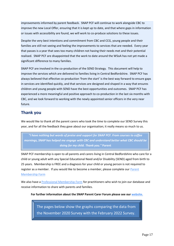improvements informed by parent feedback. SNAP PCF will continue to work alongside CBC to improve the new Local Offer, ensuring that it is kept up to date, and that where gaps in information or issues with accessibility are found, we will work to co-produce solutions to these issues.

Despite the very best intentions and commitment from CBC and CCG, young people and their families are still not seeing and feeling the improvements to services that are needed. Every year that passes is a year that sees too many children not having their needs met and their potential realised. SNAP PCF are disappointed that the work to date around the WSoA has not yet made a significant difference to many families.

SNAP PCF are involved in the co-production of the SEND Strategy. This document will help to improve the services which are delivered to families living in Central Bedfordshire. SNAP PCF has always believed that effective co-production 'from the start' is the best way forward to ensure gaps in services are identified quickly, and that services are designed and shaped in a way that ensures children and young people with SEND have the best opportunities and outcomes. SNAP PCF has experienced a more meaningful and positive approach to co-production in the last six months with CBC, and we look forward to working with the newly appointed senior officers in the very near future.

# **Thank you**

We would like to thank all the parent carers who took the time to complete our SEND Survey this year, and for all the feedback they gave about our organisation; it really means so much to us.

*"I have nothing but words of praise and support for SNAP PCF. From courses to coffee mornings, SNAP has helped me engage with CBC and understand better what CBC should be doing for my child. Thank you."* **Parent**

SNAP PCF membership is open to all parents and carers living in Central Bedfordshire who care for a child or young adult with any Special Educational Need and/or Disability (SEND) aged from birth to 25 years. Membership is FREE and a diagnosis for your child or young person is not required to register as a member. If you would like to become a member, please complete our Parent [Membership Form](https://www.surveymonkey.co.uk/r/MembershipformtojoinSNAP)

We also have a [Professional Membership Form](https://www.surveymonkey.co.uk/r/SNAP_Professionals_) for practitioners who wish to join our database and receive information to share with parents and families.

**For further information about the SNAP Parent Carer Forum please see our [website.](http://www.snappcf.org.uk/)**

The pages below show the graphs comparing the data from the November 2020 Survey with the February 2022 Survey.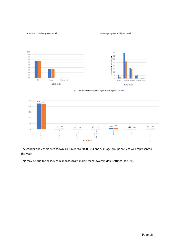#### Q2 What is your child/young person's gender? Q3 What age range is your child/young person?



#### Q32 What isthe ethnic background of your child/young person (Optional)



The gender and ethnic breakdown are similar to 2020. 0-4 and 5-11 age groups are less well represented this year.

This may be due to the lack of responses from mainstream lower/middle settings (see Q4).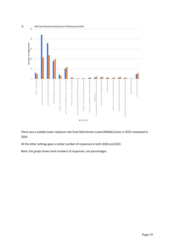

There was a notably lower response rate from Mainstream Lower/Middle/Junior in 2022 compared to 2020.

All the other settings gave a similar number of responses in both 2020 and 2022.

Note: this graph shows total numbers of responses, not percentages.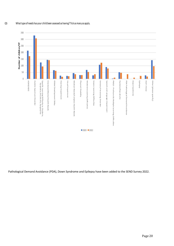#### Q5 What type of needs has your child been assessed as having? Tick as many as apply.



Pathological Demand Avoidance (PDA), Down Syndrome and Epilepsy have been added to the SEND Survey 2022.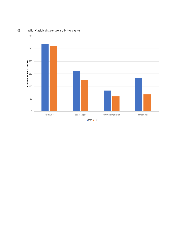Q6 Which ofthe following apply to your child/young person:



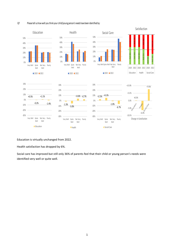#### Q7 Please tell us how well you think your child/young person's needs have been identified by:



Education is virtually unchanged from 2022.

Health satisfaction has dropped by 6%.

Social care has improved but still only 36% of parents feel that their child or young person's needs were identified very well or quite well.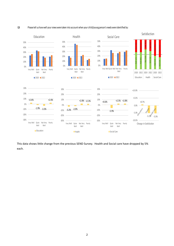

#### Q8 Please tell us how well your views were taken into account when your child/young person's needs were identified by:

This data shows little change from the previous SEND Survey. Health and Social care have dropped by 5% each.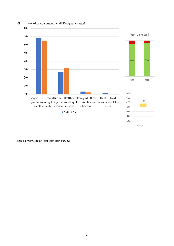

This is a very similar result for both surveys.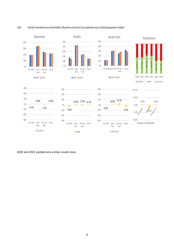#### Q10 Overall, how well do you think Health, Education and Social Care understand your child/young person's needs?



2020 and 2022 yielded very similar results here.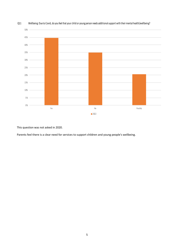

#### Q11 Wellbeing: Due to Covid, do you feel that your child or young person needs additional support with their mental health/wellbeing?

This question was not asked in 2020.

Parents feel there is a clear need for services to support children and young people's wellbeing.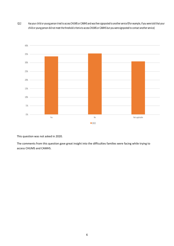Q12 Has your child or young person tried to access CHUMS or CAMHS and was then signposted to another service?(For example, if you were told that your child or young person did not meet the threshold criteria to access CHUMS or CAMHS but you were signposted to contact anotherservice)



This question was not asked in 2020.

The comments from this question gave great insight into the difficulties families were facing while trying to access CHUMS and CAMHS.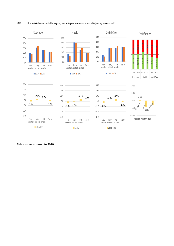#### Q13 How satisfied are you with the ongoing monitoring and assessment of your child/young person's needs?



This is a similar result to 2020.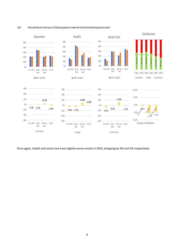#### Q14 How well do you think your child/young person's needs are met by the following service areas?



Once again, health and social care have slightly worse results in 2022, dropping by 6% and 5% respectively.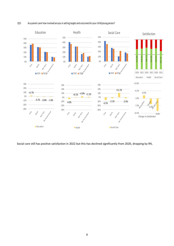



Social care still has positive satisfaction in 2022 but this has declined significantly from 2020, dropping by 9%.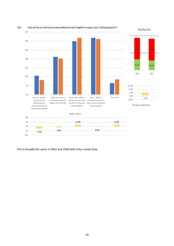

Q16 How well do you think services and professionals work together to support your child/young person?

Satisfaction

This is broadly the same in 2022 and 2020 with only a small drop.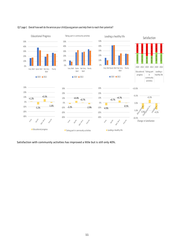

#### Q17 page 1 Overall how well do the services your child/young person uses help them to reach their potential?

Satisfaction with community activities has improved a little but is still only 40%.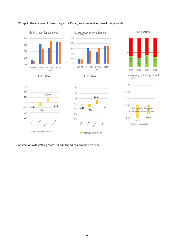







-2.0% -7.7% -0.3% -30% -20% -10% 0% 10% Very Ouite Not Ver Poorly Getting ready for adulthood

20% 30%

+10.0%



Satisfaction with getting ready for adulthood has dropped by 10%.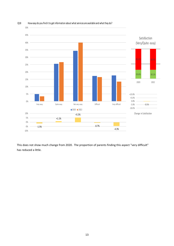

Q18 How easy do you find it to get information about what services are available and what they do?

This does not show much change from 2020. The proportion of parents finding this aspect "very difficult" has reduced a little.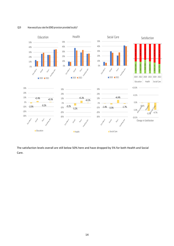#### Q19 How would you rate the SEND provision provided locally?



The satisfaction levels overall are still below 50% here and have dropped by 5% for both Health and Social Care.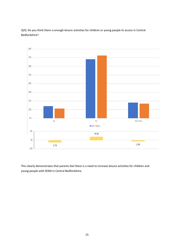



This clearly demonstrates that parents feel there is a need to increase leisure activities for children and young people with SEND in Central Bedfordshire.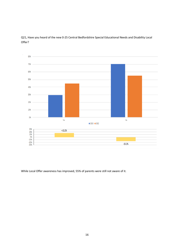

Q21, Have you heard of the new 0-25 Central Bedfordshire Special Educational Needs and Disability Local Offer?

While Local Offer awareness has improved, 55% of parents were still not aware of it.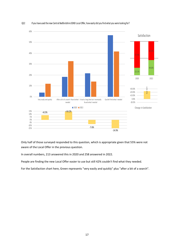

#### Q22 If you have used the new Central Bedfordshire SEND Local Offer, how easily did you find what you were looking for?

Only half of those surveyed responded to this question, which is appropriate given that 55% were not aware of the Local Offer in the previous question.

In overall numbers, 213 answered this in 2020 and 258 answered in 2022.

People are finding the new Local Offer easier to use but still 42% couldn't find what they needed.

For the Satisfaction chart here, Green represents "very easily and quickly" plus "after a bit of a search".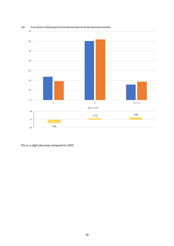

#### Q23 Do you feel your child/young person hasthe help they need to achieve their best possible outcomes?

This is a slight decrease compared to 2022.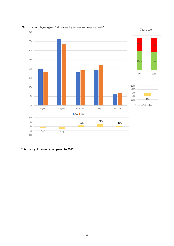

Q24 Is your child/young person's education setting well resourced to meet their needs?

This is a slight decrease compared to 2022.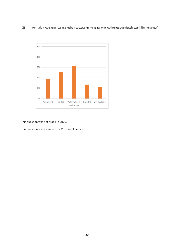#### Q25 If your child or young person hastransitioned to <sup>a</sup> new educational setting, how would you describe the experience for your child or young person?



This question was not asked in 2020.

This question was answered by 319 parent carers.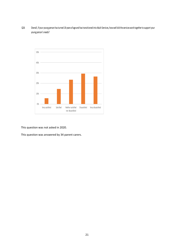Q26 Overall, if your young person hasturned 18 years of age and hastransitioned into Adult Services, how well did the services work together to support your young person'<sup>s</sup> needs?



This question was not asked in 2020.

This question was answered by 34 parent carers.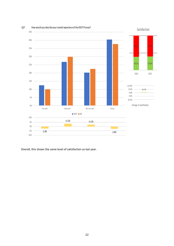

Q27 How would you describe your overall experience of the EHCP Process?

Overall, this shows the same level of satisfaction as last year.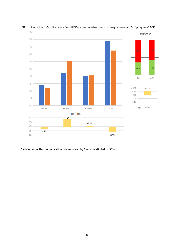

#### Q28 How well have the Central Bedfordshire Council EHCP Team communicated with you and kept you up to date with your Child's/Young Person's EHCP?

Satisfaction with communication has improved by 6% but is still below 50%.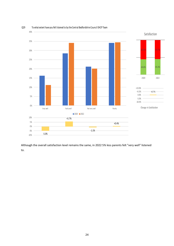

Q29 To what extent have you felt listened to by the Central Bedfordshire Council EHCP Team

Although the overall satisfaction level remains the same, in 2022 5% less parents felt "very well" listened to.